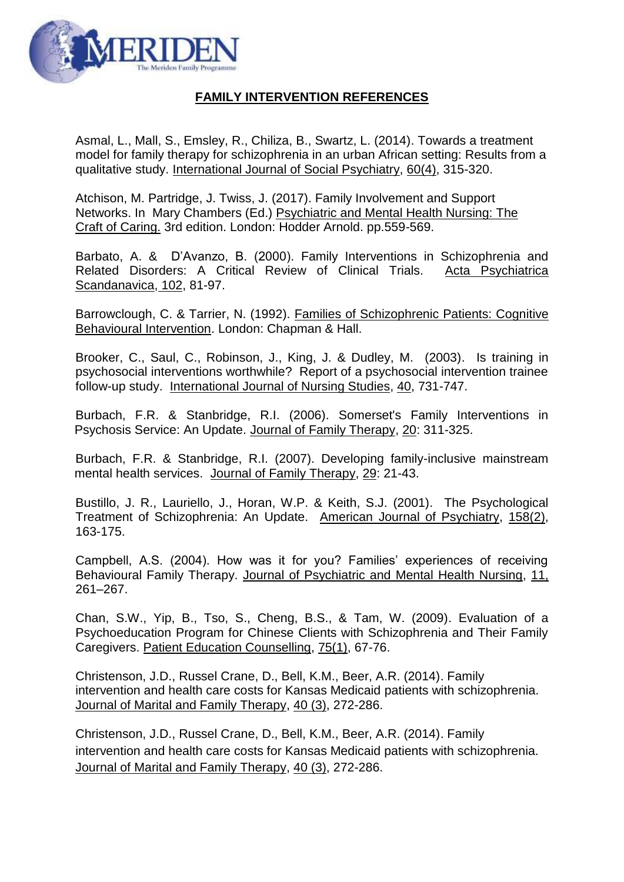

## **FAMILY INTERVENTION REFERENCES**

Asmal, L., Mall, S., Emsley, R., Chiliza, B., Swartz, L. (2014). Towards a treatment model for family therapy for schizophrenia in an urban African setting: Results from a qualitative study. International Journal of Social Psychiatry, 60(4), 315-320.

Atchison, M. Partridge, J. Twiss, J. (2017). Family Involvement and Support Networks. In Mary Chambers (Ed.) Psychiatric and Mental Health Nursing: The Craft of Caring. 3rd edition. London: Hodder Arnold. pp.559-569.

Barbato, A. & D'Avanzo, B. (2000). Family Interventions in Schizophrenia and Related Disorders: A Critical Review of Clinical Trials. Acta Psychiatrica Scandanavica, 102, 81-97.

Barrowclough, C. & Tarrier, N. (1992). Families of Schizophrenic Patients: Cognitive Behavioural Intervention. London: Chapman & Hall.

Brooker, C., Saul, C., Robinson, J., King, J. & Dudley, M. (2003). Is training in psychosocial interventions worthwhile? Report of a psychosocial intervention trainee follow-up study. International Journal of Nursing Studies, 40, 731-747.

Burbach, F.R. & Stanbridge, R.I. (2006). Somerset's Family Interventions in Psychosis Service: An Update. Journal of Family Therapy, 20: 311-325.

Burbach, F.R. & Stanbridge, R.I. (2007). Developing family-inclusive mainstream mental health services. Journal of Family Therapy, 29: 21-43.

Bustillo, J. R., Lauriello, J., Horan, W.P. & Keith, S.J. (2001). The Psychological Treatment of Schizophrenia: An Update. American Journal of Psychiatry, 158(2), 163-175.

Campbell, A.S. (2004). How was it for you? Families' experiences of receiving Behavioural Family Therapy. Journal of Psychiatric and Mental Health Nursing, 11, 261–267.

Chan, S.W., Yip, B., Tso, S., Cheng, B.S., & Tam, W. (2009). Evaluation of a Psychoeducation Program for Chinese Clients with Schizophrenia and Their Family Caregivers. Patient Education Counselling, 75(1), 67-76.

Christenson, J.D., Russel Crane, D., Bell, K.M., Beer, A.R. (2014). Family intervention and health care costs for Kansas Medicaid patients with schizophrenia. Journal of Marital and Family Therapy, 40 (3), 272-286.

Christenson, J.D., Russel Crane, D., Bell, K.M., Beer, A.R. (2014). Family intervention and health care costs for Kansas Medicaid patients with schizophrenia. Journal of Marital and Family Therapy, 40 (3), 272-286.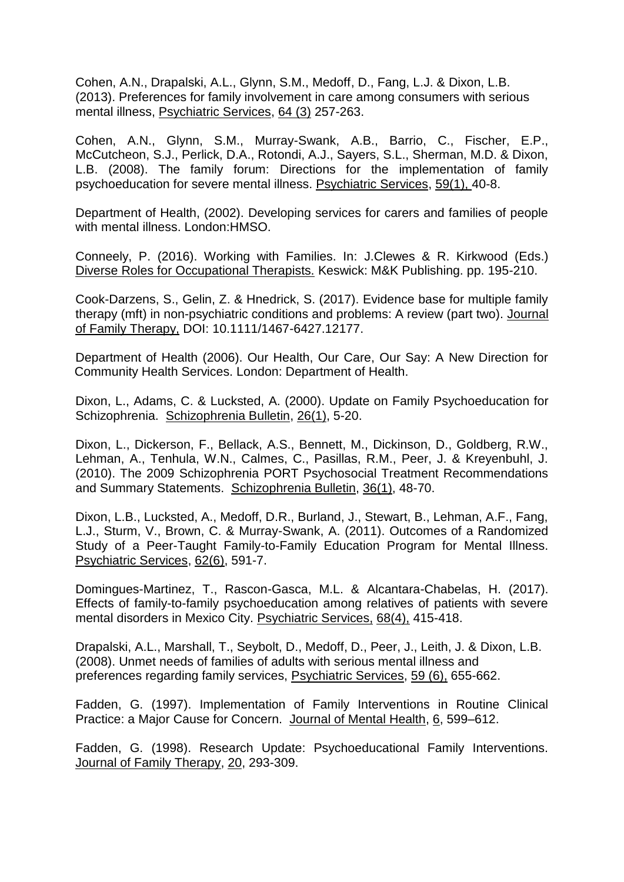Cohen, A.N., Drapalski, A.L., Glynn, S.M., Medoff, D., Fang, L.J. & Dixon, L.B. (2013). Preferences for family involvement in care among consumers with serious mental illness, Psychiatric Services, 64 (3) 257-263.

Cohen, A.N., Glynn, S.M., Murray-Swank, A.B., Barrio, C., Fischer, E.P., McCutcheon, S.J., Perlick, D.A., Rotondi, A.J., Sayers, S.L., Sherman, M.D. & Dixon, L.B. (2008). The family forum: Directions for the implementation of family psychoeducation for severe mental illness. Psychiatric Services, 59(1), 40-8.

Department of Health, (2002). Developing services for carers and families of people with mental illness. London:HMSO.

Conneely, P. (2016). Working with Families. In: J.Clewes & R. Kirkwood (Eds.) Diverse Roles for Occupational Therapists. Keswick: M&K Publishing. pp. 195-210.

Cook-Darzens, S., Gelin, Z. & Hnedrick, S. (2017). Evidence base for multiple family therapy (mft) in non-psychiatric conditions and problems: A review (part two). Journal of Family Therapy, DOI: 10.1111/1467-6427.12177.

Department of Health (2006). Our Health, Our Care, Our Say: A New Direction for Community Health Services. London: Department of Health.

Dixon, L., Adams, C. & Lucksted, A. (2000). Update on Family Psychoeducation for Schizophrenia. Schizophrenia Bulletin, 26(1), 5-20.

Dixon, L., Dickerson, F., Bellack, A.S., Bennett, M., Dickinson, D., Goldberg, R.W., Lehman, A., Tenhula, W.N., Calmes, C., Pasillas, R.M., Peer, J. & Kreyenbuhl, J. (2010). The 2009 Schizophrenia PORT Psychosocial Treatment Recommendations and Summary Statements. Schizophrenia Bulletin, 36(1), 48-70.

Dixon, L.B., Lucksted, A., Medoff, D.R., Burland, J., Stewart, B., Lehman, A.F., Fang, L.J., Sturm, V., Brown, C. & Murray-Swank, A. (2011). Outcomes of a Randomized Study of a Peer-Taught Family-to-Family Education Program for Mental Illness. Psychiatric Services, 62(6), 591-7.

Domingues-Martinez, T., Rascon-Gasca, M.L. & Alcantara-Chabelas, H. (2017). Effects of family-to-family psychoeducation among relatives of patients with severe mental disorders in Mexico City. Psychiatric Services, 68(4), 415-418.

Drapalski, A.L., Marshall, T., Seybolt, D., Medoff, D., Peer, J., Leith, J. & Dixon, L.B. (2008). Unmet needs of families of adults with serious mental illness and preferences regarding family services, Psychiatric Services, 59 (6), 655-662.

Fadden, G. (1997). Implementation of Family Interventions in Routine Clinical Practice: a Major Cause for Concern. Journal of Mental Health, 6, 599–612.

Fadden, G. (1998). Research Update: Psychoeducational Family Interventions. Journal of Family Therapy, 20, 293-309.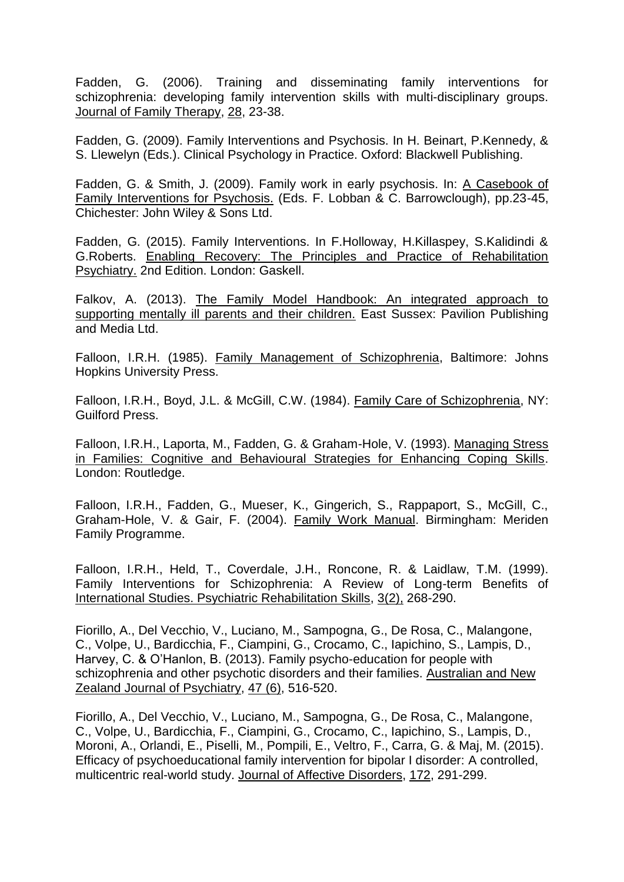Fadden, G. (2006). Training and disseminating family interventions for schizophrenia: developing family intervention skills with multi-disciplinary groups. Journal of Family Therapy, 28, 23-38.

Fadden, G. (2009). Family Interventions and Psychosis. In H. Beinart, P.Kennedy, & S. Llewelyn (Eds.). Clinical Psychology in Practice. Oxford: Blackwell Publishing.

Fadden, G. & Smith, J. (2009). Family work in early psychosis. In: A Casebook of Family Interventions for Psychosis. (Eds. F. Lobban & C. Barrowclough), pp.23-45, Chichester: John Wiley & Sons Ltd.

Fadden, G. (2015). Family Interventions. In F.Holloway, H.Killaspey, S.Kalidindi & G.Roberts. Enabling Recovery: The Principles and Practice of Rehabilitation Psychiatry. 2nd Edition. London: Gaskell.

Falkov, A. (2013). The Family Model Handbook: An integrated approach to supporting mentally ill parents and their children. East Sussex: Pavilion Publishing and Media Ltd.

Falloon, I.R.H. (1985). Family Management of Schizophrenia, Baltimore: Johns Hopkins University Press.

Falloon, I.R.H., Boyd, J.L. & McGill, C.W. (1984). Family Care of Schizophrenia, NY: Guilford Press.

Falloon, I.R.H., Laporta, M., Fadden, G. & Graham-Hole, V. (1993). Managing Stress in Families: Cognitive and Behavioural Strategies for Enhancing Coping Skills. London: Routledge.

Falloon, I.R.H., Fadden, G., Mueser, K., Gingerich, S., Rappaport, S., McGill, C., Graham-Hole, V. & Gair, F. (2004). Family Work Manual. Birmingham: Meriden Family Programme.

Falloon, I.R.H., Held, T., Coverdale, J.H., Roncone, R. & Laidlaw, T.M. (1999). Family Interventions for Schizophrenia: A Review of Long-term Benefits of International Studies. Psychiatric Rehabilitation Skills, 3(2), 268-290.

Fiorillo, A., Del Vecchio, V., Luciano, M., Sampogna, G., De Rosa, C., Malangone, C., Volpe, U., Bardicchia, F., Ciampini, G., Crocamo, C., Iapichino, S., Lampis, D., Harvey, C. & O'Hanlon, B. (2013). Family psycho-education for people with schizophrenia and other psychotic disorders and their families. Australian and New Zealand Journal of Psychiatry, 47 (6), 516-520.

Fiorillo, A., Del Vecchio, V., Luciano, M., Sampogna, G., De Rosa, C., Malangone, C., Volpe, U., Bardicchia, F., Ciampini, G., Crocamo, C., Iapichino, S., Lampis, D., Moroni, A., Orlandi, E., Piselli, M., Pompili, E., Veltro, F., Carra, G. & Maj, M. (2015). Efficacy of psychoeducational family intervention for bipolar I disorder: A controlled, multicentric real-world study. Journal of Affective Disorders, 172, 291-299.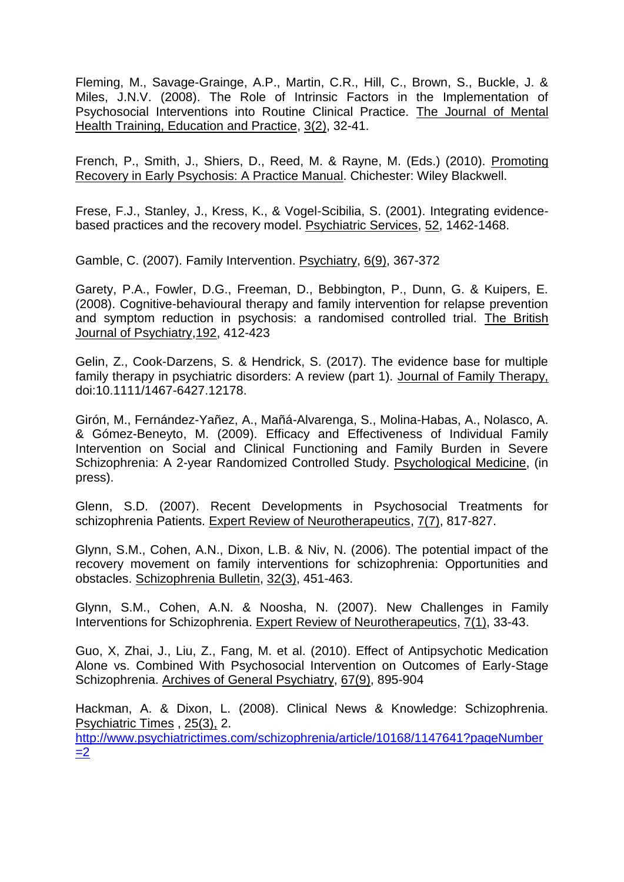Fleming, M., Savage-Grainge, A.P., Martin, C.R., Hill, C., Brown, S., Buckle, J. & Miles, J.N.V. (2008). The Role of Intrinsic Factors in the Implementation of Psychosocial Interventions into Routine Clinical Practice. The Journal of Mental Health Training, Education and Practice, 3(2), 32-41.

French, P., Smith, J., Shiers, D., Reed, M. & Rayne, M. (Eds.) (2010). Promoting Recovery in Early Psychosis: A Practice Manual. Chichester: Wiley Blackwell.

Frese, F.J., Stanley, J., Kress, K., & Vogel-Scibilia, S. (2001). Integrating evidencebased practices and the recovery model. Psychiatric Services, 52, 1462-1468.

Gamble, C. (2007). Family Intervention. Psychiatry, 6(9), 367-372

Garety, P.A., Fowler, D.G., Freeman, D., Bebbington, P., Dunn, G. & Kuipers, E. (2008). Cognitive-behavioural therapy and family intervention for relapse prevention and symptom reduction in psychosis: a randomised controlled trial. The British Journal of Psychiatry,192, 412-423

Gelin, Z., Cook-Darzens, S. & Hendrick, S. (2017). The evidence base for multiple family therapy in psychiatric disorders: A review (part 1). Journal of Family Therapy, doi:10.1111/1467-6427.12178.

Girón, M., Fernández-Yañez, A., Mañá-Alvarenga, S., Molina-Habas, A., Nolasco, A. & Gómez-Beneyto, M. (2009). Efficacy and Effectiveness of Individual Family Intervention on Social and Clinical Functioning and Family Burden in Severe Schizophrenia: A 2-year Randomized Controlled Study. Psychological Medicine, (in press).

Glenn, S.D. (2007). Recent Developments in Psychosocial Treatments for schizophrenia Patients. Expert Review of Neurotherapeutics, 7(7), 817-827.

Glynn, S.M., Cohen, A.N., Dixon, L.B. & Niv, N. (2006). The potential impact of the recovery movement on family interventions for schizophrenia: Opportunities and obstacles. Schizophrenia Bulletin, 32(3), 451-463.

Glynn, S.M., Cohen, A.N. & Noosha, N. (2007). New Challenges in Family Interventions for Schizophrenia. Expert Review of Neurotherapeutics, 7(1), 33-43.

Guo, X, Zhai, J., Liu, Z., Fang, M. et al. (2010). Effect of Antipsychotic Medication Alone vs. Combined With Psychosocial Intervention on Outcomes of Early-Stage Schizophrenia. Archives of General Psychiatry, 67(9), 895-904

Hackman, A. & Dixon, L. (2008). Clinical News & Knowledge: Schizophrenia. Psychiatric Times , 25(3), 2. [http://www.psychiatrictimes.com/schizophrenia/article/10168/1147641?pageNumber](http://www.psychiatrictimes.com/schizophrenia/article/10168/1147641?pageNumber=2)  $=2$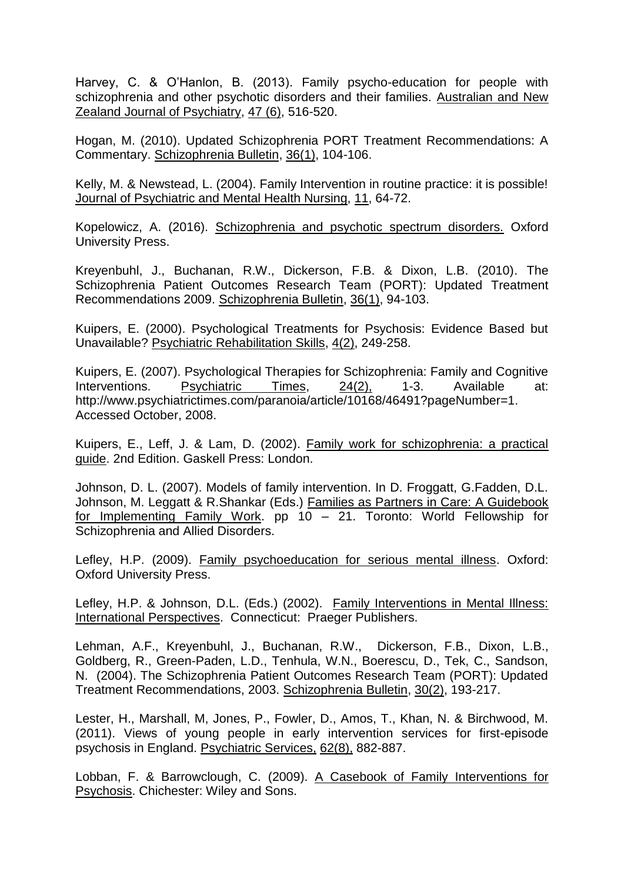Harvey, C. & O'Hanlon, B. (2013). Family psycho-education for people with schizophrenia and other psychotic disorders and their families. Australian and New Zealand Journal of Psychiatry, 47 (6), 516-520.

Hogan, M. (2010). Updated Schizophrenia PORT Treatment Recommendations: A Commentary. Schizophrenia Bulletin, 36(1), 104-106.

Kelly, M. & Newstead, L. (2004). Family Intervention in routine practice: it is possible! Journal of Psychiatric and Mental Health Nursing, 11, 64-72.

Kopelowicz, A. (2016). Schizophrenia and psychotic spectrum disorders. Oxford University Press.

Kreyenbuhl, J., Buchanan, R.W., Dickerson, F.B. & Dixon, L.B. (2010). The Schizophrenia Patient Outcomes Research Team (PORT): Updated Treatment Recommendations 2009. Schizophrenia Bulletin, 36(1), 94-103.

Kuipers, E. (2000). Psychological Treatments for Psychosis: Evidence Based but Unavailable? Psychiatric Rehabilitation Skills, 4(2), 249-258.

Kuipers, E. (2007). Psychological Therapies for Schizophrenia: Family and Cognitive Interventions. Psychiatric Times, 24(2), 1-3. Available at: [http://www.psychiatrictimes.com/paranoia/article/10168/46491?pageNumber=1.](http://www.psychiatrictimes.com/paranoia/article/10168/46491?pageNumber=1) Accessed October, 2008.

Kuipers, E., Leff, J. & Lam, D. (2002). Family work for schizophrenia: a practical guide. 2nd Edition. Gaskell Press: London.

Johnson, D. L. (2007). Models of family intervention. In D. Froggatt, G.Fadden, D.L. Johnson, M. Leggatt & R.Shankar (Eds.) Families as Partners in Care: A Guidebook for Implementing Family Work. pp 10 – 21. Toronto: World Fellowship for Schizophrenia and Allied Disorders.

Lefley, H.P. (2009). Family psychoeducation for serious mental illness. Oxford: Oxford University Press.

Lefley, H.P. & Johnson, D.L. (Eds.) (2002). Family Interventions in Mental Illness: International Perspectives. Connecticut: Praeger Publishers.

Lehman, A.F., Kreyenbuhl, J., Buchanan, R.W., Dickerson, F.B., Dixon, L.B., Goldberg, R., Green-Paden, L.D., Tenhula, W.N., Boerescu, D., Tek, C., Sandson, N. (2004). The Schizophrenia Patient Outcomes Research Team (PORT): Updated Treatment Recommendations, 2003. Schizophrenia Bulletin, 30(2), 193-217.

Lester, H., Marshall, M, Jones, P., Fowler, D., Amos, T., Khan, N. & Birchwood, M. (2011). Views of young people in early intervention services for first-episode psychosis in England. Psychiatric Services, 62(8), 882-887.

Lobban, F. & Barrowclough, C. (2009). A Casebook of Family Interventions for Psychosis. Chichester: Wiley and Sons.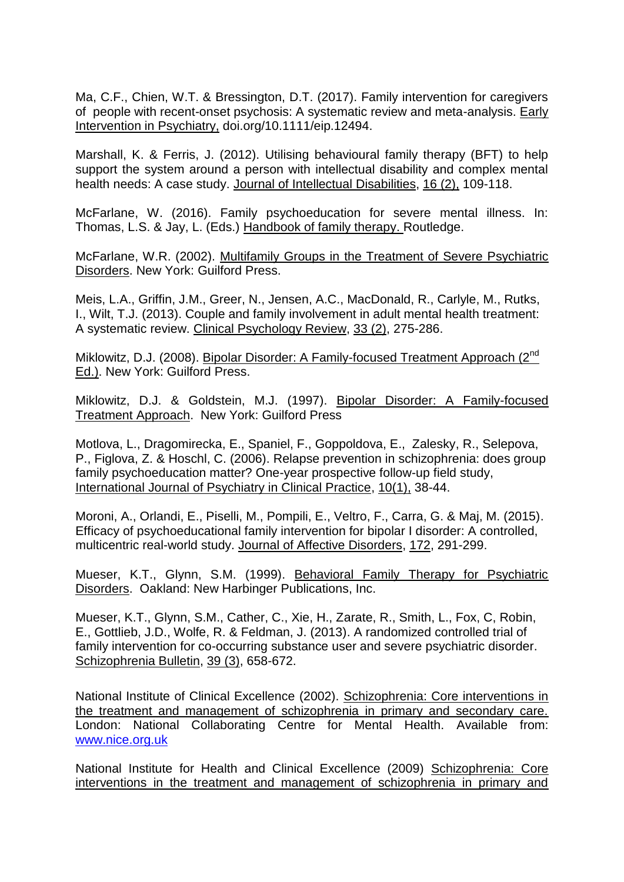Ma, C.F., Chien, W.T. & Bressington, D.T. (2017). Family intervention for caregivers of people with recent-onset psychosis: A systematic review and meta-analysis. Early Intervention in Psychiatry, doi.org/10.1111/eip.12494.

Marshall, K. & Ferris, J. (2012). Utilising behavioural family therapy (BFT) to help support the system around a person with intellectual disability and complex mental health needs: A case study. Journal of Intellectual Disabilities, 16 (2), 109-118.

McFarlane, W. (2016). Family psychoeducation for severe mental illness. In: Thomas, L.S. & Jay, L. (Eds.) Handbook of family therapy. Routledge.

McFarlane, W.R. (2002). Multifamily Groups in the Treatment of Severe Psychiatric Disorders. New York: Guilford Press.

Meis, L.A., Griffin, J.M., Greer, N., Jensen, A.C., MacDonald, R., Carlyle, M., Rutks, I., Wilt, T.J. (2013). Couple and family involvement in adult mental health treatment: A systematic review. Clinical Psychology Review, 33 (2), 275-286.

Miklowitz, D.J. (2008). Bipolar Disorder: A Family-focused Treatment Approach (2<sup>nd</sup> Ed.). New York: Guilford Press.

Miklowitz, D.J. & Goldstein, M.J. (1997). Bipolar Disorder: A Family-focused Treatment Approach. New York: Guilford Press

Motlova, L., Dragomirecka, E., Spaniel, F., Goppoldova, E., Zalesky, R., Selepova, P., Figlova, Z. & Hoschl, C. (2006). Relapse prevention in schizophrenia: does group family psychoeducation matter? One-year prospective follow-up field study, International Journal of Psychiatry in Clinical Practice, 10(1), 38-44.

Moroni, A., Orlandi, E., Piselli, M., Pompili, E., Veltro, F., Carra, G. & Maj, M. (2015). Efficacy of psychoeducational family intervention for bipolar I disorder: A controlled, multicentric real-world study. Journal of Affective Disorders, 172, 291-299.

Mueser, K.T., Glynn, S.M. (1999). Behavioral Family Therapy for Psychiatric Disorders. Oakland: New Harbinger Publications, Inc.

Mueser, K.T., Glynn, S.M., Cather, C., Xie, H., Zarate, R., Smith, L., Fox, C, Robin, E., Gottlieb, J.D., Wolfe, R. & Feldman, J. (2013). A randomized controlled trial of family intervention for co-occurring substance user and severe psychiatric disorder. Schizophrenia Bulletin, 39 (3), 658-672.

National Institute of Clinical Excellence (2002). Schizophrenia: Core interventions in the treatment and management of schizophrenia in primary and secondary care. London: National Collaborating Centre for Mental Health. Available from: [www.nice.org.uk](http://www.nice.org.uk/)

National Institute for Health and Clinical Excellence (2009) Schizophrenia: Core interventions in the treatment and management of schizophrenia in primary and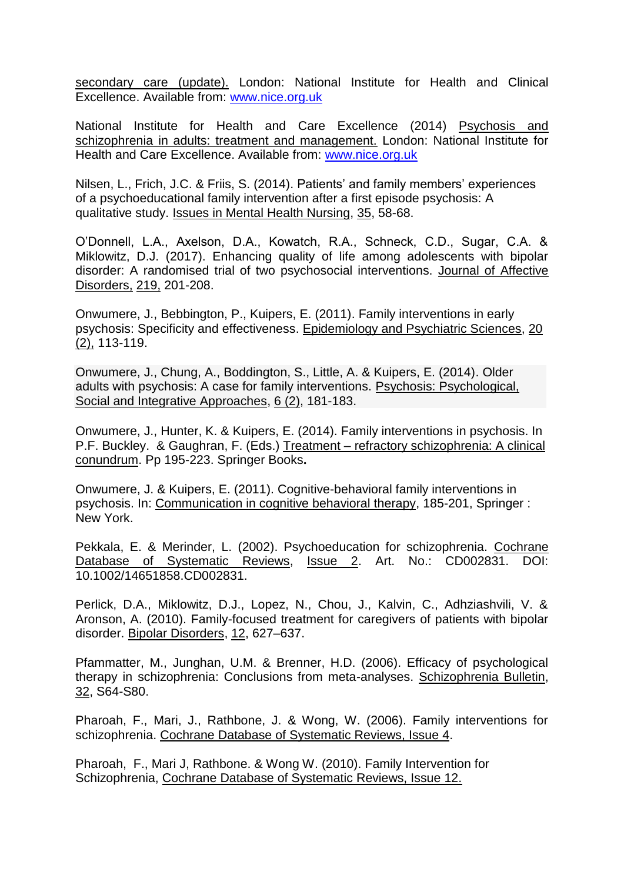secondary care (update). London: National Institute for Health and Clinical Excellence. Available from: [www.nice.org.uk](http://www.nice.org.uk/)

National Institute for Health and Care Excellence (2014) Psychosis and schizophrenia in adults: treatment and management. London: National Institute for Health and Care Excellence. Available from: [www.nice.org.uk](http://www.nice.org.uk/)

Nilsen, L., Frich, J.C. & Friis, S. (2014). Patients' and family members' experiences of a psychoeducational family intervention after a first episode psychosis: A qualitative study. Issues in Mental Health Nursing, 35, 58-68.

O'Donnell, L.A., Axelson, D.A., Kowatch, R.A., Schneck, C.D., Sugar, C.A. & Miklowitz, D.J. (2017). Enhancing quality of life among adolescents with bipolar disorder: A randomised trial of two psychosocial interventions. Journal of Affective Disorders, 219, 201-208.

Onwumere, J., Bebbington, P., Kuipers, E. (2011). Family interventions in early psychosis: Specificity and effectiveness. Epidemiology and Psychiatric Sciences, 20 (2), 113-119.

Onwumere, J., Chung, A., Boddington, S., Little, A. & Kuipers, E. (2014). Older adults with psychosis: A case for family interventions. Psychosis: Psychological, Social and Integrative Approaches, 6 (2), 181-183.

Onwumere, J., Hunter, K. & Kuipers, E. (2014). Family interventions in psychosis. In P.F. Buckley. & Gaughran, F. (Eds.) Treatment – refractory schizophrenia: A clinical conundrum. Pp 195-223. Springer Books**.**

Onwumere, J. & Kuipers, E. (2011). Cognitive-behavioral family interventions in psychosis. In: Communication in cognitive behavioral therapy, 185-201, Springer : New York.

Pekkala, E. & Merinder, L. (2002). Psychoeducation for schizophrenia. Cochrane Database of Systematic Reviews, Issue 2. Art. No.: CD002831. DOI: 10.1002/14651858.CD002831.

Perlick, D.A., Miklowitz, D.J., Lopez, N., Chou, J., Kalvin, C., Adhziashvili, V. & Aronson, A. (2010). Family-focused treatment for caregivers of patients with bipolar disorder. Bipolar Disorders, 12, 627–637.

Pfammatter, M., Junghan, U.M. & Brenner, H.D. (2006). Efficacy of psychological therapy in schizophrenia: Conclusions from meta-analyses. Schizophrenia Bulletin, 32, S64-S80.

Pharoah, F., Mari, J., Rathbone, J. & Wong, W. (2006). Family interventions for schizophrenia. Cochrane Database of Systematic Reviews, Issue 4.

Pharoah, F., Mari J, Rathbone. & Wong W. (2010). Family Intervention for Schizophrenia, Cochrane Database of Systematic Reviews, Issue 12.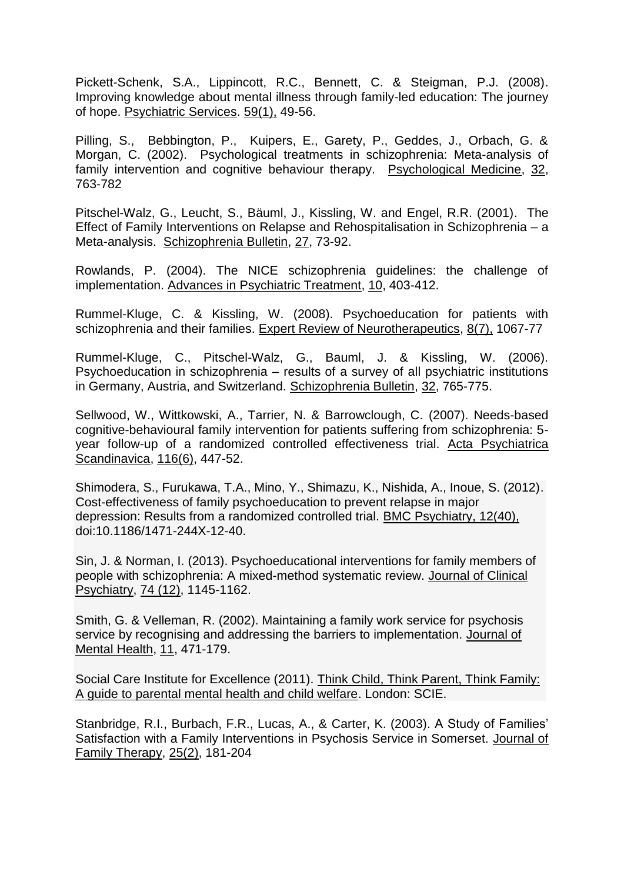Pickett-Schenk, S.A., Lippincott, R.C., Bennett, C. & Steigman, P.J. (2008). Improving knowledge about mental illness through family-led education: The journey of hope. Psychiatric Services. 59(1), 49-56.

Pilling, S., Bebbington, P., Kuipers, E., Garety, P., Geddes, J., Orbach, G. & Morgan, C. (2002). Psychological treatments in schizophrenia: Meta-analysis of family intervention and cognitive behaviour therapy. Psychological Medicine, 32, 763-782

Pitschel-Walz, G., Leucht, S., Bäuml, J., Kissling, W. and Engel, R.R. (2001). The Effect of Family Interventions on Relapse and Rehospitalisation in Schizophrenia – a Meta-analysis. Schizophrenia Bulletin, 27, 73-92.

Rowlands, P. (2004). The NICE schizophrenia guidelines: the challenge of implementation. Advances in Psychiatric Treatment, 10, 403-412.

Rummel-Kluge, C. & Kissling, W. (2008). Psychoeducation for patients with schizophrenia and their families. Expert Review of Neurotherapeutics, 8(7), 1067-77

Rummel-Kluge, C., Pitschel-Walz, G., Bauml, J. & Kissling, W. (2006). Psychoeducation in schizophrenia – results of a survey of all psychiatric institutions in Germany, Austria, and Switzerland. Schizophrenia Bulletin, 32, 765-775.

[Sellwood, W., Wittkowski, A., Tarrier, N. & Barrowclough, C.](http://www.ncbi.nlm.nih.gov/pubmed/17961200?ordinalpos=15&itool=EntrezSystem2.PEntrez.Pubmed.Pubmed_ResultsPanel.Pubmed_DefaultReportPanel.Pubmed_RVDocSum) (2007). Needs-based cognitive-behavioural family intervention for patients suffering from schizophrenia: 5 year follow-up of a randomized controlled effectiveness trial. Acta Psychiatrica Scandinavica, 116(6), 447-52.

Shimodera, S., Furukawa, T.A., Mino, Y., Shimazu, K., Nishida, A., Inoue, S. (2012). Cost-effectiveness of family psychoeducation to prevent relapse in major depression: Results from a randomized controlled trial. BMC Psychiatry, 12(40), doi:10.1186/1471-244X-12-40.

Sin, J. & Norman, I. (2013). Psychoeducational interventions for family members of people with schizophrenia: A mixed-method systematic review. Journal of Clinical Psychiatry, 74 (12), 1145-1162.

Smith, G. & Velleman, R. (2002). Maintaining a family work service for psychosis service by recognising and addressing the barriers to implementation. Journal of Mental Health, 11, 471-179.

Social Care Institute for Excellence (2011). Think Child, Think Parent, Think Family: A guide to parental mental health and child welfare. London: SCIE.

Stanbridge, R.I., Burbach, F.R., Lucas, A., & Carter, K. (2003). A Study of Families' Satisfaction with a Family Interventions in Psychosis Service in Somerset. Journal of Family Therapy, 25(2), 181-204